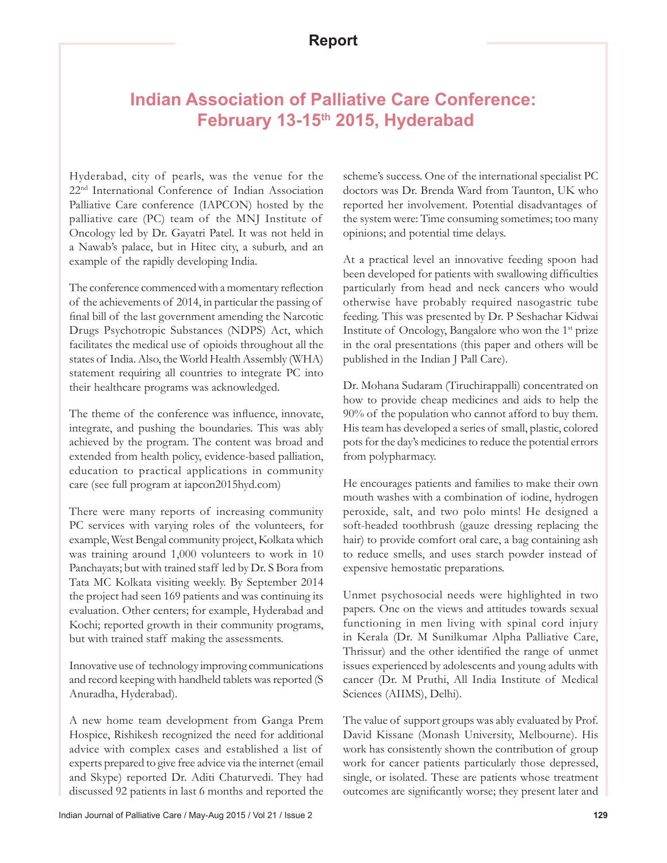## **Indian Association of Palliative Care Conference: February 13-15th 2015, Hyderabad**

Hyderabad, city of pearls, was the venue for the 22nd International Conference of Indian Association Palliative Care conference (IAPCON) hosted by the palliative care (PC) team of the MNJ Institute of Oncology led by Dr. Gayatri Patel. It was not held in a Nawab's palace, but in Hitec city, a suburb, and an example of the rapidly developing India.

The conference commenced with a momentary reflection of the achievements of 2014, in particular the passing of final bill of the last government amending the Narcotic Drugs Psychotropic Substances (NDPS) Act, which facilitates the medical use of opioids throughout all the states of India. Also, the World Health Assembly (WHA) statement requiring all countries to integrate PC into their healthcare programs was acknowledged.

The theme of the conference was influence, innovate, integrate, and pushing the boundaries. This was ably achieved by the program. The content was broad and extended from health policy, evidence-based palliation, education to practical applications in community care (see full program at iapcon2015hyd.com)

There were many reports of increasing community PC services with varying roles of the volunteers, for example, West Bengal community project, Kolkata which was training around 1,000 volunteers to work in 10 Panchayats; but with trained staff led by Dr. S Bora from Tata MC Kolkata visiting weekly. By September 2014 the project had seen 169 patients and was continuing its evaluation. Other centers; for example, Hyderabad and Kochi; reported growth in their community programs, but with trained staff making the assessments.

Innovative use of technology improving communications and record keeping with handheld tablets was reported (S Anuradha, Hyderabad).

A new home team development from Ganga Prem Hospice, Rishikesh recognized the need for additional advice with complex cases and established a list of experts prepared to give free advice via the internet (email and Skype) reported Dr. Aditi Chaturvedi. They had discussed 92 patients in last 6 months and reported the

scheme's success. One of the international specialist PC doctors was Dr. Brenda Ward from Taunton, UK who reported her involvement. Potential disadvantages of the system were: Time consuming sometimes; too many opinions; and potential time delays.

At a practical level an innovative feeding spoon had been developed for patients with swallowing difficulties particularly from head and neck cancers who would otherwise have probably required nasogastric tube feeding. This was presented by Dr. P Seshachar Kidwai Institute of Oncology, Bangalore who won the  $1<sup>st</sup>$  prize in the oral presentations (this paper and others will be published in the Indian J Pall Care).

Dr. Mohana Sudaram (Tiruchirappalli) concentrated on how to provide cheap medicines and aids to help the 90% of the population who cannot afford to buy them. His team has developed a series of small, plastic, colored pots for the day's medicines to reduce the potential errors from polypharmacy.

He encourages patients and families to make their own mouth washes with a combination of iodine, hydrogen peroxide, salt, and two polo mints! He designed a soft-headed toothbrush (gauze dressing replacing the hair) to provide comfort oral care, a bag containing ash to reduce smells, and uses starch powder instead of expensive hemostatic preparations.

Unmet psychosocial needs were highlighted in two papers. One on the views and attitudes towards sexual functioning in men living with spinal cord injury in Kerala (Dr. M Sunilkumar Alpha Palliative Care, Thrissur) and the other identified the range of unmet issues experienced by adolescents and young adults with cancer (Dr. M Pruthi, All India Institute of Medical Sciences (AIIMS), Delhi).

The value of support groups was ably evaluated by Prof. David Kissane (Monash University, Melbourne). His work has consistently shown the contribution of group work for cancer patients particularly those depressed, single, or isolated. These are patients whose treatment outcomes are significantly worse; they present later and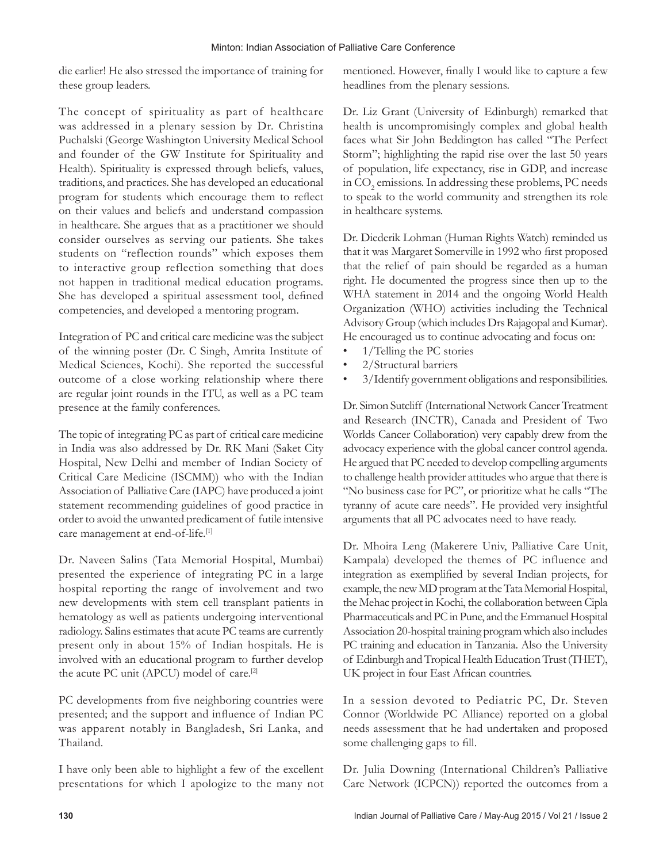die earlier! He also stressed the importance of training for these group leaders.

The concept of spirituality as part of healthcare was addressed in a plenary session by Dr. Christina Puchalski (George Washington University Medical School and founder of the GW Institute for Spirituality and Health). Spirituality is expressed through beliefs, values, traditions, and practices. She has developed an educational program for students which encourage them to reflect on their values and beliefs and understand compassion in healthcare. She argues that as a practitioner we should consider ourselves as serving our patients. She takes students on "reflection rounds" which exposes them to interactive group reflection something that does not happen in traditional medical education programs. She has developed a spiritual assessment tool, defined competencies, and developed a mentoring program.

Integration of PC and critical care medicine was the subject of the winning poster (Dr. C Singh, Amrita Institute of Medical Sciences, Kochi). She reported the successful outcome of a close working relationship where there are regular joint rounds in the ITU, as well as a PC team presence at the family conferences.

The topic of integrating PC as part of critical care medicine in India was also addressed by Dr. RK Mani (Saket City Hospital, New Delhi and member of Indian Society of Critical Care Medicine (ISCMM)) who with the Indian Association of Palliative Care (IAPC) have produced a joint statement recommending guidelines of good practice in order to avoid the unwanted predicament of futile intensive care management at end-of-life.[1]

Dr. Naveen Salins (Tata Memorial Hospital, Mumbai) presented the experience of integrating PC in a large hospital reporting the range of involvement and two new developments with stem cell transplant patients in hematology as well as patients undergoing interventional radiology. Salins estimates that acute PC teams are currently present only in about 15% of Indian hospitals. He is involved with an educational program to further develop the acute PC unit (APCU) model of care.<sup>[2]</sup>

PC developments from five neighboring countries were presented; and the support and influence of Indian PC was apparent notably in Bangladesh, Sri Lanka, and Thailand.

I have only been able to highlight a few of the excellent presentations for which I apologize to the many not mentioned. However, finally I would like to capture a few headlines from the plenary sessions.

Dr. Liz Grant (University of Edinburgh) remarked that health is uncompromisingly complex and global health faces what Sir John Beddington has called "The Perfect Storm"; highlighting the rapid rise over the last 50 years of population, life expectancy, rise in GDP, and increase in  $\mathrm{CO}_2$  emissions. In addressing these problems, PC needs to speak to the world community and strengthen its role in healthcare systems.

Dr. Diederik Lohman (Human Rights Watch) reminded us that it was Margaret Somerville in 1992 who first proposed that the relief of pain should be regarded as a human right. He documented the progress since then up to the WHA statement in 2014 and the ongoing World Health Organization (WHO) activities including the Technical Advisory Group (which includes Drs Rajagopal and Kumar). He encouraged us to continue advocating and focus on:

- 1/Telling the PC stories
- 2/Structural barriers
- 3/Identify government obligations and responsibilities.

Dr. Simon Sutcliff (International Network Cancer Treatment and Research (INCTR), Canada and President of Two Worlds Cancer Collaboration) very capably drew from the advocacy experience with the global cancer control agenda. He argued that PC needed to develop compelling arguments to challenge health provider attitudes who argue that there is "No business case for PC", or prioritize what he calls "The tyranny of acute care needs". He provided very insightful arguments that all PC advocates need to have ready.

Dr. Mhoira Leng (Makerere Univ, Palliative Care Unit, Kampala) developed the themes of PC influence and integration as exemplified by several Indian projects, for example, the new MD program at the Tata Memorial Hospital, the Mehac project in Kochi, the collaboration between Cipla Pharmaceuticals and PC in Pune, and the Emmanuel Hospital Association 20-hospital training program which also includes PC training and education in Tanzania. Also the University of Edinburgh and Tropical Health Education Trust(THET), UK project in four East African countries.

In a session devoted to Pediatric PC, Dr. Steven Connor (Worldwide PC Alliance) reported on a global needs assessment that he had undertaken and proposed some challenging gaps to fill.

Dr. Julia Downing (International Children's Palliative Care Network (ICPCN)) reported the outcomes from a